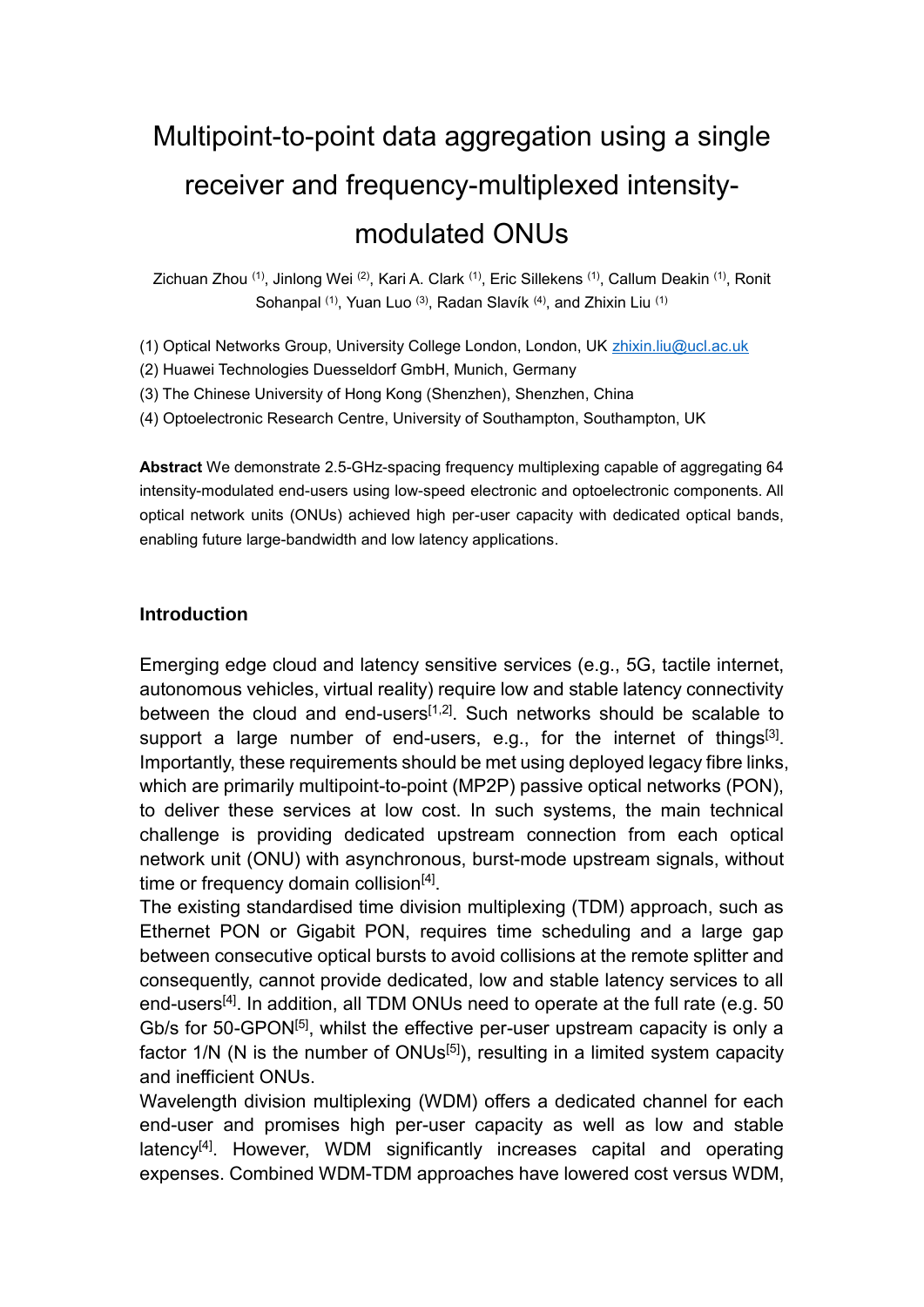# Multipoint-to-point data aggregation using a single receiver and frequency-multiplexed intensitymodulated ONUs

Zichuan Zhou (1), Jinlong Wei (2), Kari A. Clark (1), Eric Sillekens (1), Callum Deakin (1), Ronit Sohanpal <sup>(1)</sup>, Yuan Luo <sup>(3)</sup>, Radan Slavík <sup>(4)</sup>, and Zhixin Liu <sup>(1)</sup>

(1) Optical Networks Group, University College London, London, UK [zhixin.liu@ucl.ac.uk](mailto:zhixin.liu@ucl.ac.uk)

(2) Huawei Technologies Duesseldorf GmbH, Munich, Germany

(3) The Chinese University of Hong Kong (Shenzhen), Shenzhen, China

(4) Optoelectronic Research Centre, University of Southampton, Southampton, UK

**Abstract** We demonstrate 2.5-GHz-spacing frequency multiplexing capable of aggregating 64 intensity-modulated end-users using low-speed electronic and optoelectronic components. All optical network units (ONUs) achieved high per-user capacity with dedicated optical bands, enabling future large-bandwidth and low latency applications.

#### **Introduction**

Emerging edge cloud and latency sensitive services (e.g., 5G, tactile internet, autonomous vehicles, virtual reality) require low and stable latency connectivity between the cloud and end-users $[1,2]$ . Such networks should be scalable to support a large number of end-users, e.g., for the internet of things<sup>[3]</sup>. Importantly, these requirements should be met using deployed legacy fibre links, which are primarily multipoint-to-point (MP2P) passive optical networks (PON), to deliver these services at low cost. In such systems, the main technical challenge is providing dedicated upstream connection from each optical network unit (ONU) with asynchronous, burst-mode upstream signals, without time or frequency domain collision<sup>[4]</sup>.

The existing standardised time division multiplexing (TDM) approach, such as Ethernet PON or Gigabit PON, requires time scheduling and a large gap between consecutive optical bursts to avoid collisions at the remote splitter and consequently, cannot provide dedicated, low and stable latency services to all end-users<sup>[4]</sup>. In addition, all TDM ONUs need to operate at the full rate (e.g. 50) Gb/s for 50-GPON<sup>[5]</sup>, whilst the effective per-user upstream capacity is only a factor  $1/N$  (N is the number of ONUs<sup>[5]</sup>), resulting in a limited system capacity and inefficient ONUs.

Wavelength division multiplexing (WDM) offers a dedicated channel for each end-user and promises high per-user capacity as well as low and stable latency<sup>[4]</sup>. However, WDM significantly increases capital and operating expenses. Combined WDM-TDM approaches have lowered cost versus WDM,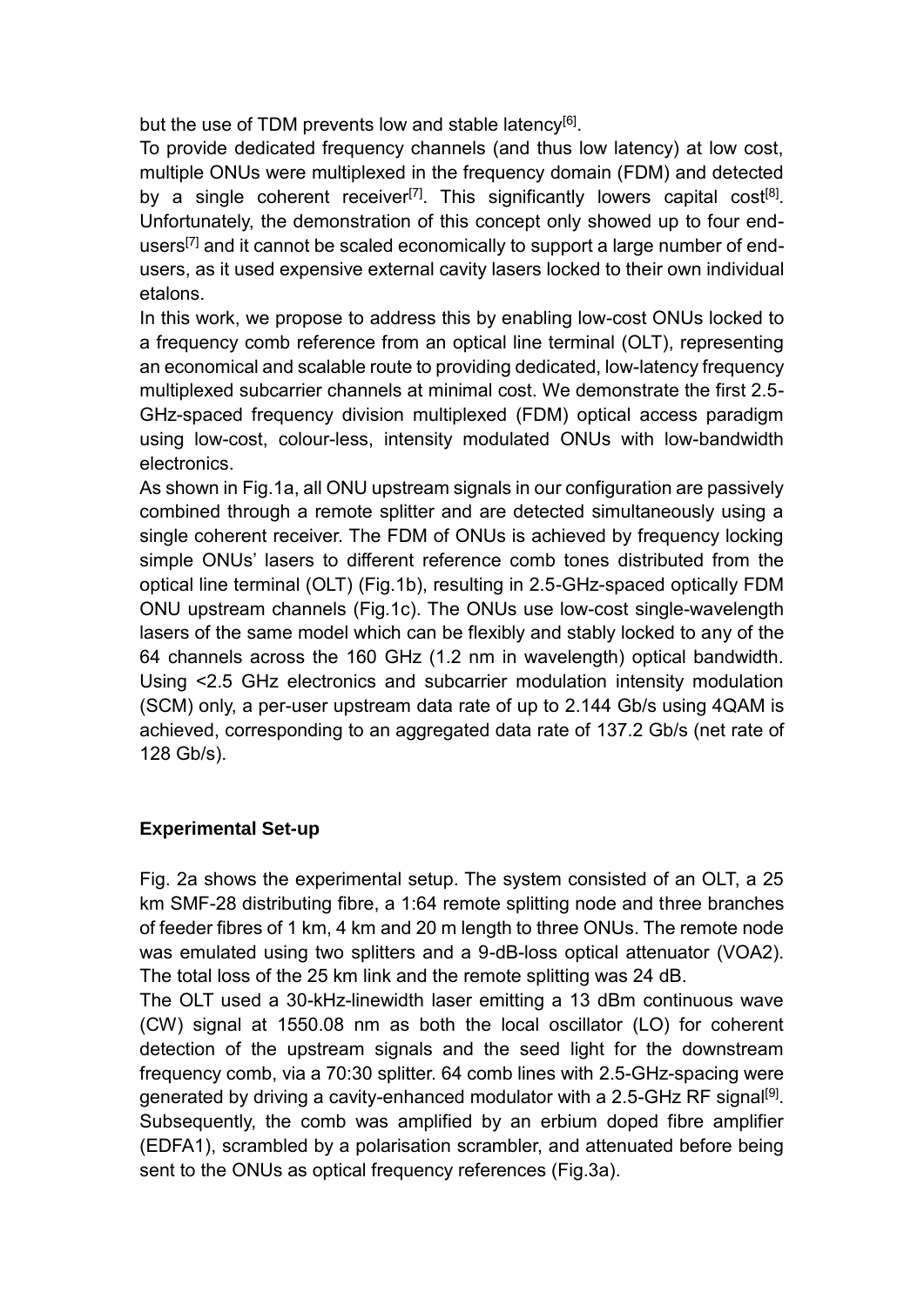but the use of TDM prevents low and stable latency<sup>[6]</sup>.

To provide dedicated frequency channels (and thus low latency) at low cost, multiple ONUs were multiplexed in the frequency domain (FDM) and detected by a single coherent receiver<sup>[7]</sup>. This significantly lowers capital cost<sup>[8]</sup>. Unfortunately, the demonstration of this concept only showed up to four endusers<sup>[7]</sup> and it cannot be scaled economically to support a large number of endusers, as it used expensive external cavity lasers locked to their own individual etalons.

In this work, we propose to address this by enabling low-cost ONUs locked to a frequency comb reference from an optical line terminal (OLT), representing an economical and scalable route to providing dedicated, low-latency frequency multiplexed subcarrier channels at minimal cost. We demonstrate the first 2.5- GHz-spaced frequency division multiplexed (FDM) optical access paradigm using low-cost, colour-less, intensity modulated ONUs with low-bandwidth electronics.

As shown in Fig.1a, all ONU upstream signals in our configuration are passively combined through a remote splitter and are detected simultaneously using a single coherent receiver. The FDM of ONUs is achieved by frequency locking simple ONUs' lasers to different reference comb tones distributed from the optical line terminal (OLT) (Fig.1b), resulting in 2.5-GHz-spaced optically FDM ONU upstream channels (Fig.1c). The ONUs use low-cost single-wavelength lasers of the same model which can be flexibly and stably locked to any of the 64 channels across the 160 GHz (1.2 nm in wavelength) optical bandwidth. Using <2.5 GHz electronics and subcarrier modulation intensity modulation (SCM) only, a per-user upstream data rate of up to 2.144 Gb/s using 4QAM is achieved, corresponding to an aggregated data rate of 137.2 Gb/s (net rate of 128 Gb/s).

## **Experimental Set-up**

Fig. 2a shows the experimental setup. The system consisted of an OLT, a 25 km SMF-28 distributing fibre, a 1:64 remote splitting node and three branches of feeder fibres of 1 km, 4 km and 20 m length to three ONUs. The remote node was emulated using two splitters and a 9-dB-loss optical attenuator (VOA2). The total loss of the 25 km link and the remote splitting was 24 dB.

The OLT used a 30-kHz-linewidth laser emitting a 13 dBm continuous wave (CW) signal at 1550.08 nm as both the local oscillator (LO) for coherent detection of the upstream signals and the seed light for the downstream frequency comb, via a 70:30 splitter. 64 comb lines with 2.5-GHz-spacing were generated by driving a cavity-enhanced modulator with a 2.5-GHz RF signal<sup>[9]</sup>. Subsequently, the comb was amplified by an erbium doped fibre amplifier (EDFA1), scrambled by a polarisation scrambler, and attenuated before being sent to the ONUs as optical frequency references (Fig.3a).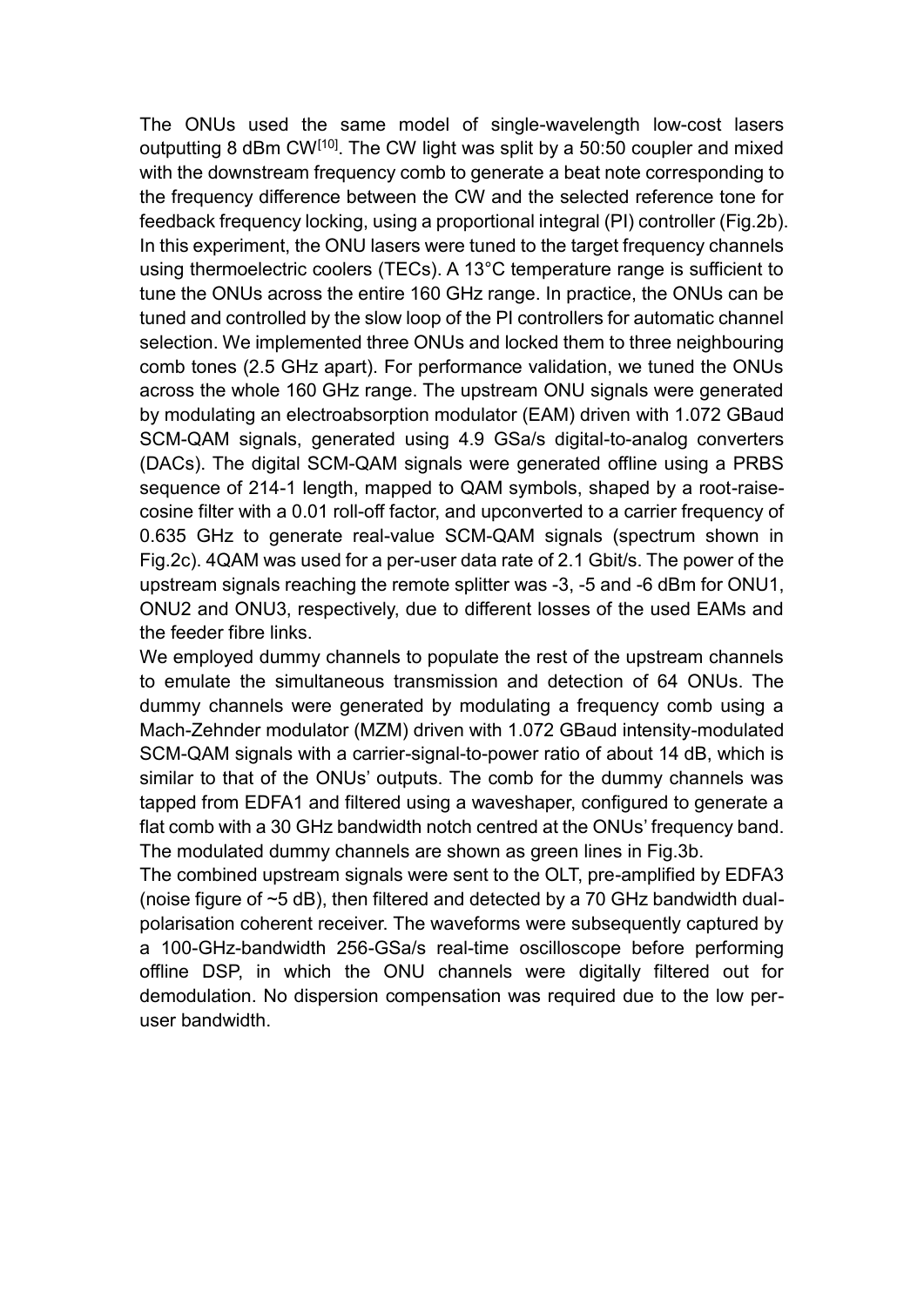The ONUs used the same model of single-wavelength low-cost lasers outputting 8 dBm CW[10]. The CW light was split by a 50:50 coupler and mixed with the downstream frequency comb to generate a beat note corresponding to the frequency difference between the CW and the selected reference tone for feedback frequency locking, using a proportional integral (PI) controller (Fig.2b). In this experiment, the ONU lasers were tuned to the target frequency channels using thermoelectric coolers (TECs). A 13°C temperature range is sufficient to tune the ONUs across the entire 160 GHz range. In practice, the ONUs can be tuned and controlled by the slow loop of the PI controllers for automatic channel selection. We implemented three ONUs and locked them to three neighbouring comb tones (2.5 GHz apart). For performance validation, we tuned the ONUs across the whole 160 GHz range. The upstream ONU signals were generated by modulating an electroabsorption modulator (EAM) driven with 1.072 GBaud SCM-QAM signals, generated using 4.9 GSa/s digital-to-analog converters (DACs). The digital SCM-QAM signals were generated offline using a PRBS sequence of 214-1 length, mapped to QAM symbols, shaped by a root-raisecosine filter with a 0.01 roll-off factor, and upconverted to a carrier frequency of 0.635 GHz to generate real-value SCM-QAM signals (spectrum shown in Fig.2c). 4QAM was used for a per-user data rate of 2.1 Gbit/s. The power of the upstream signals reaching the remote splitter was -3, -5 and -6 dBm for ONU1, ONU2 and ONU3, respectively, due to different losses of the used EAMs and the feeder fibre links.

We employed dummy channels to populate the rest of the upstream channels to emulate the simultaneous transmission and detection of 64 ONUs. The dummy channels were generated by modulating a frequency comb using a Mach-Zehnder modulator (MZM) driven with 1.072 GBaud intensity-modulated SCM-QAM signals with a carrier-signal-to-power ratio of about 14 dB, which is similar to that of the ONUs' outputs. The comb for the dummy channels was tapped from EDFA1 and filtered using a waveshaper, configured to generate a flat comb with a 30 GHz bandwidth notch centred at the ONUs' frequency band. The modulated dummy channels are shown as green lines in Fig.3b.

The combined upstream signals were sent to the OLT, pre-amplified by EDFA3 (noise figure of ~5 dB), then filtered and detected by a 70 GHz bandwidth dualpolarisation coherent receiver. The waveforms were subsequently captured by a 100-GHz-bandwidth 256-GSa/s real-time oscilloscope before performing offline DSP, in which the ONU channels were digitally filtered out for demodulation. No dispersion compensation was required due to the low peruser bandwidth.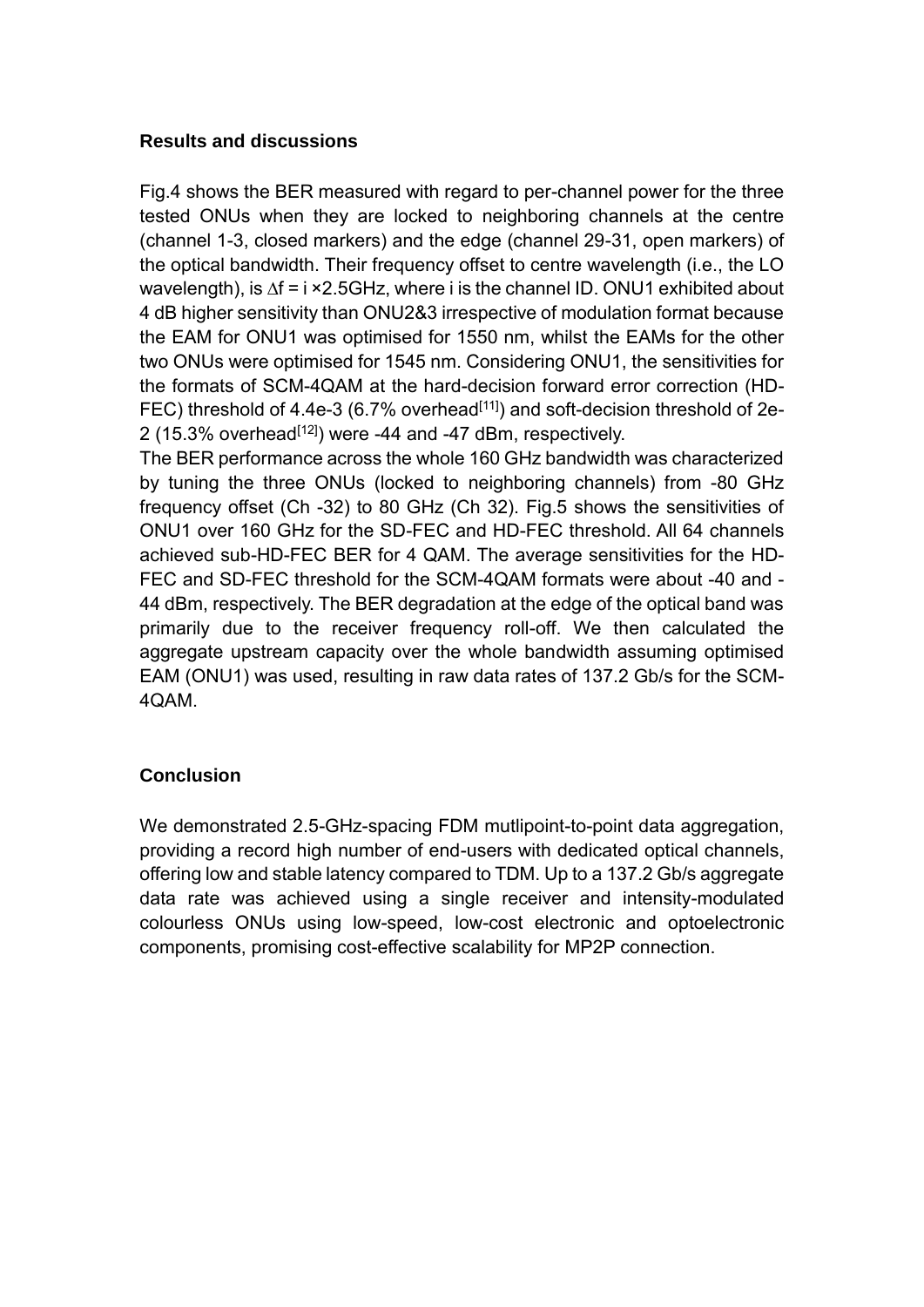#### **Results and discussions**

Fig.4 shows the BER measured with regard to per-channel power for the three tested ONUs when they are locked to neighboring channels at the centre (channel 1-3, closed markers) and the edge (channel 29-31, open markers) of the optical bandwidth. Their frequency offset to centre wavelength (i.e., the LO wavelength), is ∆f = i ×2.5GHz, where i is the channel ID. ONU1 exhibited about 4 dB higher sensitivity than ONU2&3 irrespective of modulation format because the EAM for ONU1 was optimised for 1550 nm, whilst the EAMs for the other two ONUs were optimised for 1545 nm. Considering ONU1, the sensitivities for the formats of SCM-4QAM at the hard-decision forward error correction (HD-FEC) threshold of 4.4e-3 (6.7% overhead<sup>[11]</sup>) and soft-decision threshold of 2e-2 (15.3% overhead $[12]$ ) were -44 and -47 dBm, respectively.

The BER performance across the whole 160 GHz bandwidth was characterized by tuning the three ONUs (locked to neighboring channels) from -80 GHz frequency offset (Ch -32) to 80 GHz (Ch 32). Fig.5 shows the sensitivities of ONU1 over 160 GHz for the SD-FEC and HD-FEC threshold. All 64 channels achieved sub-HD-FEC BER for 4 QAM. The average sensitivities for the HD-FEC and SD-FEC threshold for the SCM-4QAM formats were about -40 and - 44 dBm, respectively. The BER degradation at the edge of the optical band was primarily due to the receiver frequency roll-off. We then calculated the aggregate upstream capacity over the whole bandwidth assuming optimised EAM (ONU1) was used, resulting in raw data rates of 137.2 Gb/s for the SCM-4QAM.

## **Conclusion**

We demonstrated 2.5-GHz-spacing FDM mutlipoint-to-point data aggregation, providing a record high number of end-users with dedicated optical channels, offering low and stable latency compared to TDM. Up to a 137.2 Gb/s aggregate data rate was achieved using a single receiver and intensity-modulated colourless ONUs using low-speed, low-cost electronic and optoelectronic components, promising cost-effective scalability for MP2P connection.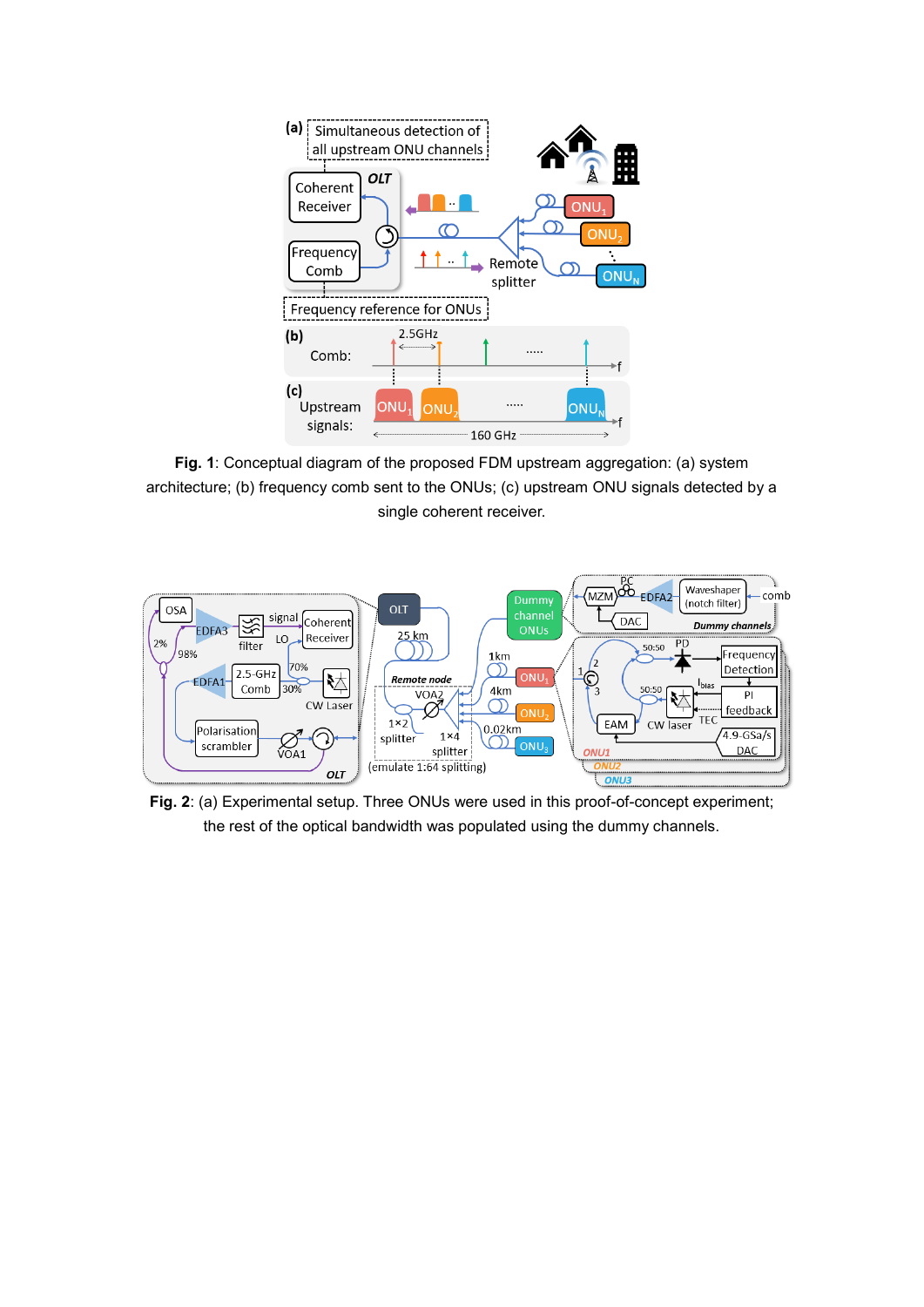

**Fig. 1**: Conceptual diagram of the proposed FDM upstream aggregation: (a) system architecture; (b) frequency comb sent to the ONUs; (c) upstream ONU signals detected by a single coherent receiver.



**Fig. 2**: (a) Experimental setup. Three ONUs were used in this proof-of-concept experiment; the rest of the optical bandwidth was populated using the dummy channels.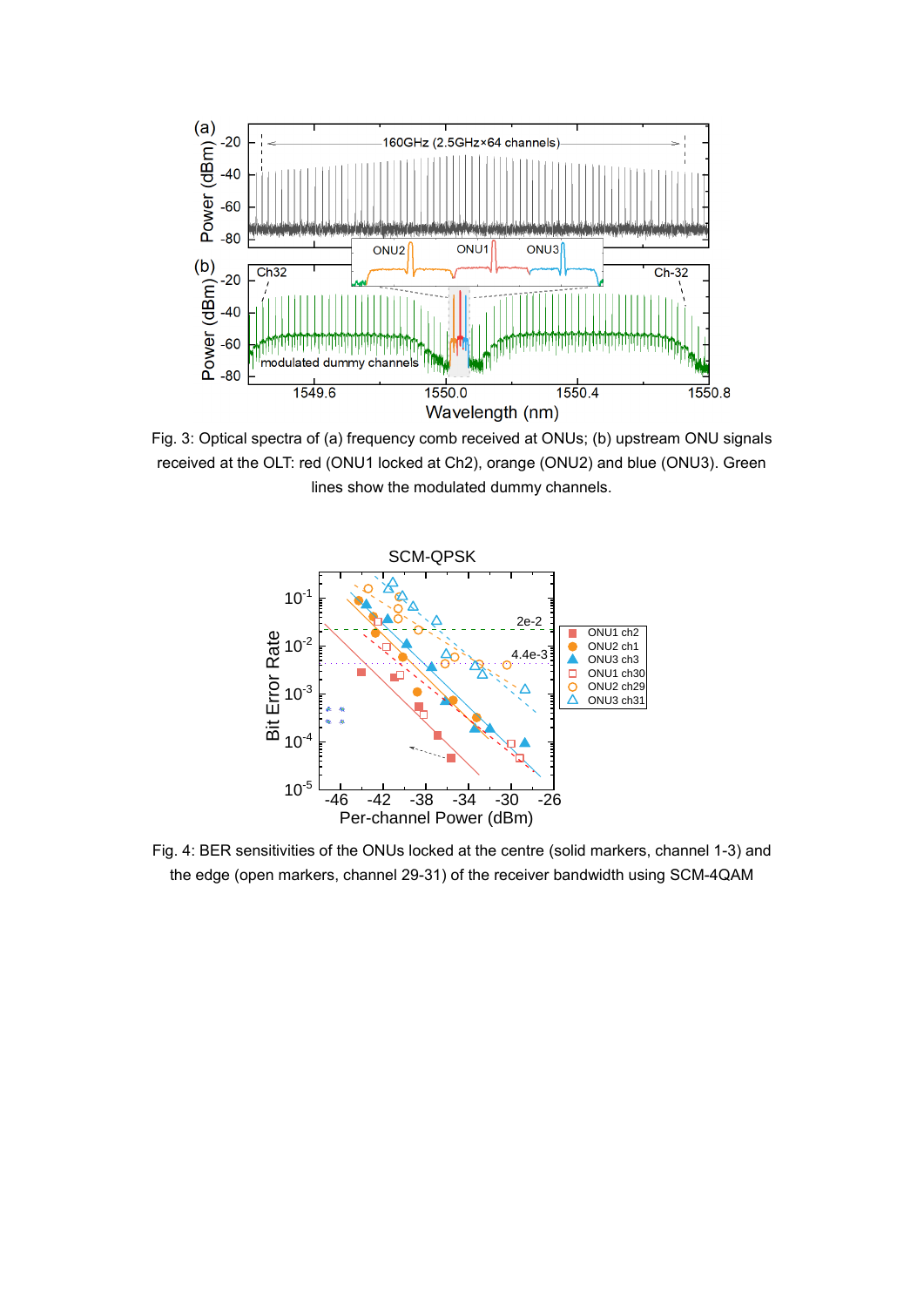

Fig. 3: Optical spectra of (a) frequency comb received at ONUs; (b) upstream ONU signals received at the OLT: red (ONU1 locked at Ch2), orange (ONU2) and blue (ONU3). Green lines show the modulated dummy channels.



Fig. 4: BER sensitivities of the ONUs locked at the centre (solid markers, channel 1-3) and the edge (open markers, channel 29-31) of the receiver bandwidth using SCM-4QAM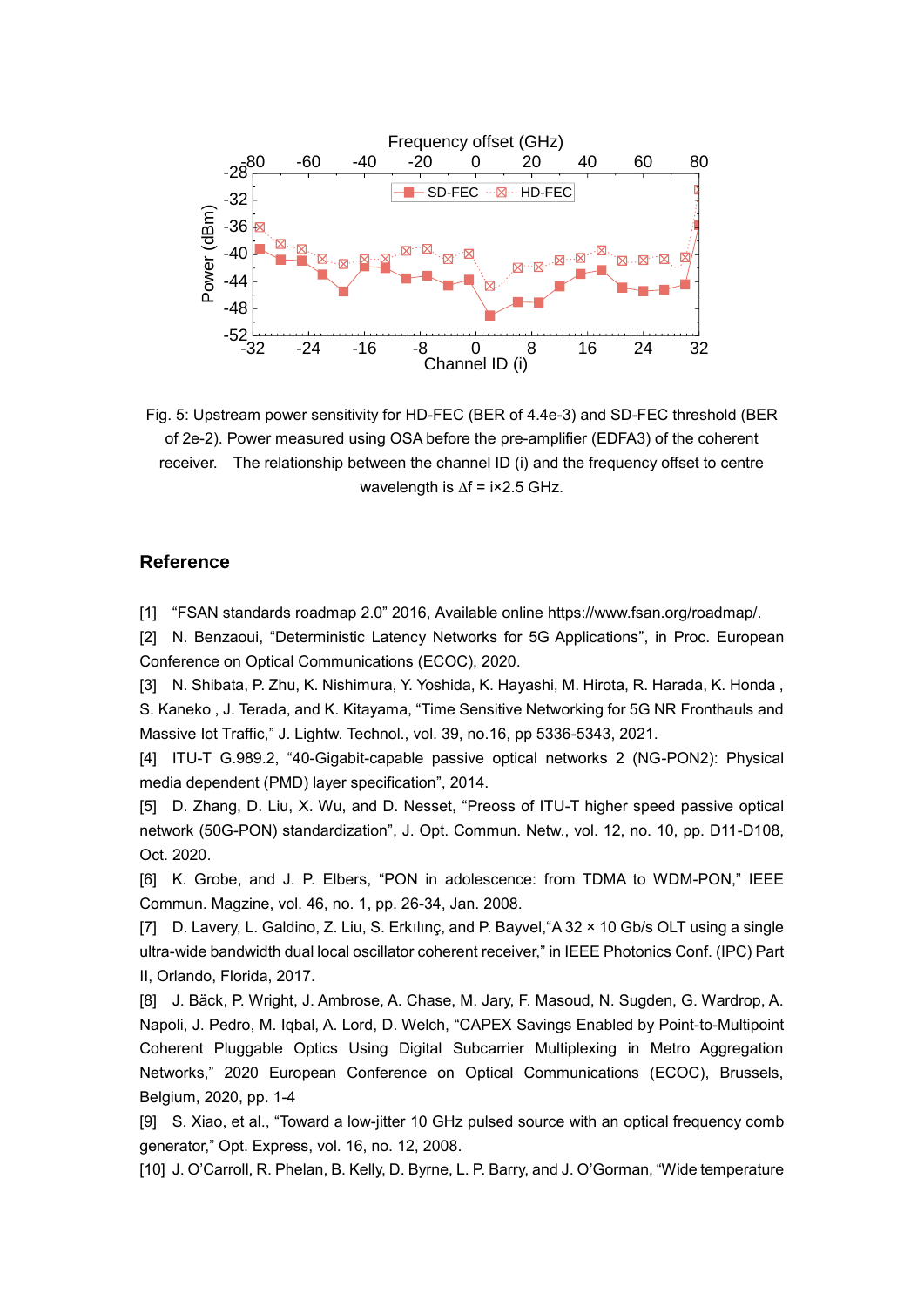

Fig. 5: Upstream power sensitivity for HD-FEC (BER of 4.4e-3) and SD-FEC threshold (BER of 2e-2). Power measured using OSA before the pre-amplifier (EDFA3) of the coherent receiver. The relationship between the channel ID (i) and the frequency offset to centre wavelength is ∆f = i×2.5 GHz.

#### **Reference**

[1] "FSAN standards roadmap 2.0" 2016, Available online https://www.fsan.org/roadmap/.

[2] N. Benzaoui, "Deterministic Latency Networks for 5G Applications", in Proc. European Conference on Optical Communications (ECOC), 2020.

[3] N. Shibata, P. Zhu, K. Nishimura, Y. Yoshida, K. Hayashi, M. Hirota, R. Harada, K. Honda , S. Kaneko , J. Terada, and K. Kitayama, "Time Sensitive Networking for 5G NR Fronthauls and Massive Iot Traffic," J. Lightw. Technol., vol. 39, no.16, pp 5336-5343, 2021.

[4] ITU-T G.989.2, "40-Gigabit-capable passive optical networks 2 (NG-PON2): Physical media dependent (PMD) layer specification", 2014.

[5] D. Zhang, D. Liu, X. Wu, and D. Nesset, "Preoss of ITU-T higher speed passive optical network (50G-PON) standardization", J. Opt. Commun. Netw., vol. 12, no. 10, pp. D11-D108, Oct. 2020.

[6] K. Grobe, and J. P. Elbers, "PON in adolescence: from TDMA to WDM-PON," IEEE Commun. Magzine, vol. 46, no. 1, pp. 26-34, Jan. 2008.

[7] D. Lavery, L. Galdino, Z. Liu, S. Erkılınç, and P. Bayvel,"A 32 × 10 Gb/s OLT using a single ultra-wide bandwidth dual local oscillator coherent receiver," in IEEE Photonics Conf. (IPC) Part II, Orlando, Florida, 2017.

[8] J. Bäck, P. Wright, J. Ambrose, A. Chase, M. Jary, F. Masoud, N. Sugden, G. Wardrop, A. Napoli, J. Pedro, M. Iqbal, A. Lord, D. Welch, "CAPEX Savings Enabled by Point-to-Multipoint Coherent Pluggable Optics Using Digital Subcarrier Multiplexing in Metro Aggregation Networks," 2020 European Conference on Optical Communications (ECOC), Brussels, Belgium, 2020, pp. 1-4

[9] S. Xiao, et al., "Toward a low-jitter 10 GHz pulsed source with an optical frequency comb generator," Opt. Express, vol. 16, no. 12, 2008.

[10] J. O'Carroll, R. Phelan, B. Kelly, D. Byrne, L. P. Barry, and J. O'Gorman, "Wide temperature